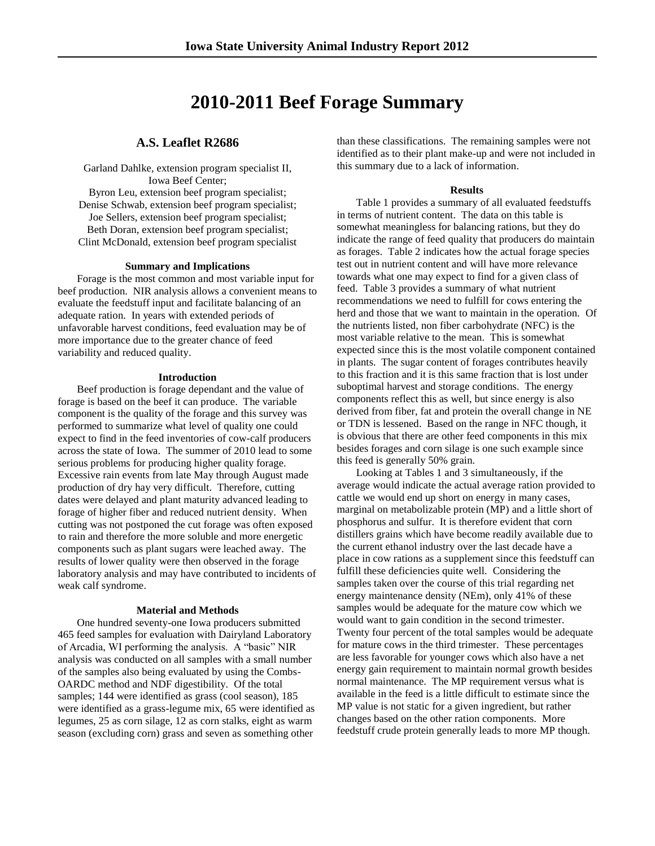# **2010-2011 Beef Forage Summary**

# **A.S. Leaflet R2686**

Garland Dahlke, extension program specialist II, Iowa Beef Center; Byron Leu, extension beef program specialist; Denise Schwab, extension beef program specialist; Joe Sellers, extension beef program specialist; Beth Doran, extension beef program specialist; Clint McDonald, extension beef program specialist

## **Summary and Implications**

Forage is the most common and most variable input for beef production. NIR analysis allows a convenient means to evaluate the feedstuff input and facilitate balancing of an adequate ration. In years with extended periods of unfavorable harvest conditions, feed evaluation may be of more importance due to the greater chance of feed variability and reduced quality.

#### **Introduction**

Beef production is forage dependant and the value of forage is based on the beef it can produce. The variable component is the quality of the forage and this survey was performed to summarize what level of quality one could expect to find in the feed inventories of cow-calf producers across the state of Iowa. The summer of 2010 lead to some serious problems for producing higher quality forage. Excessive rain events from late May through August made production of dry hay very difficult. Therefore, cutting dates were delayed and plant maturity advanced leading to forage of higher fiber and reduced nutrient density. When cutting was not postponed the cut forage was often exposed to rain and therefore the more soluble and more energetic components such as plant sugars were leached away. The results of lower quality were then observed in the forage laboratory analysis and may have contributed to incidents of weak calf syndrome.

## **Material and Methods**

One hundred seventy-one Iowa producers submitted 465 feed samples for evaluation with Dairyland Laboratory of Arcadia, WI performing the analysis. A "basic" NIR analysis was conducted on all samples with a small number of the samples also being evaluated by using the Combs-OARDC method and NDF digestibility. Of the total samples; 144 were identified as grass (cool season), 185 were identified as a grass-legume mix, 65 were identified as legumes, 25 as corn silage, 12 as corn stalks, eight as warm season (excluding corn) grass and seven as something other

than these classifications. The remaining samples were not identified as to their plant make-up and were not included in this summary due to a lack of information.

#### **Results**

Table 1 provides a summary of all evaluated feedstuffs in terms of nutrient content. The data on this table is somewhat meaningless for balancing rations, but they do indicate the range of feed quality that producers do maintain as forages. Table 2 indicates how the actual forage species test out in nutrient content and will have more relevance towards what one may expect to find for a given class of feed. Table 3 provides a summary of what nutrient recommendations we need to fulfill for cows entering the herd and those that we want to maintain in the operation. Of the nutrients listed, non fiber carbohydrate (NFC) is the most variable relative to the mean. This is somewhat expected since this is the most volatile component contained in plants. The sugar content of forages contributes heavily to this fraction and it is this same fraction that is lost under suboptimal harvest and storage conditions. The energy components reflect this as well, but since energy is also derived from fiber, fat and protein the overall change in NE or TDN is lessened. Based on the range in NFC though, it is obvious that there are other feed components in this mix besides forages and corn silage is one such example since this feed is generally 50% grain.

Looking at Tables 1 and 3 simultaneously, if the average would indicate the actual average ration provided to cattle we would end up short on energy in many cases, marginal on metabolizable protein (MP) and a little short of phosphorus and sulfur. It is therefore evident that corn distillers grains which have become readily available due to the current ethanol industry over the last decade have a place in cow rations as a supplement since this feedstuff can fulfill these deficiencies quite well. Considering the samples taken over the course of this trial regarding net energy maintenance density (NEm), only 41% of these samples would be adequate for the mature cow which we would want to gain condition in the second trimester. Twenty four percent of the total samples would be adequate for mature cows in the third trimester. These percentages are less favorable for younger cows which also have a net energy gain requirement to maintain normal growth besides normal maintenance. The MP requirement versus what is available in the feed is a little difficult to estimate since the MP value is not static for a given ingredient, but rather changes based on the other ration components. More feedstuff crude protein generally leads to more MP though.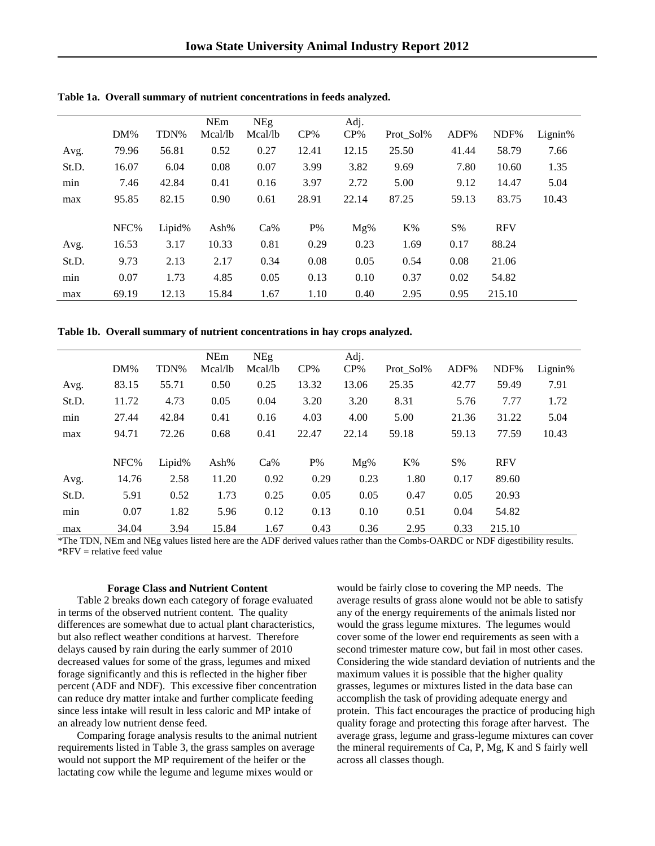|       |        |        | <b>NEm</b> | NEg     |        | Adj.   |           |       |            |         |
|-------|--------|--------|------------|---------|--------|--------|-----------|-------|------------|---------|
|       | $DM\%$ | TDN%   | Mcal/b     | Mcal/lb | $CP\%$ | $CP\%$ | Prot Sol% | ADF%  | NDF%       | Lignin% |
| Avg.  | 79.96  | 56.81  | 0.52       | 0.27    | 12.41  | 12.15  | 25.50     | 41.44 | 58.79      | 7.66    |
| St.D. | 16.07  | 6.04   | 0.08       | 0.07    | 3.99   | 3.82   | 9.69      | 7.80  | 10.60      | 1.35    |
| min   | 7.46   | 42.84  | 0.41       | 0.16    | 3.97   | 2.72   | 5.00      | 9.12  | 14.47      | 5.04    |
| max   | 95.85  | 82.15  | 0.90       | 0.61    | 28.91  | 22.14  | 87.25     | 59.13 | 83.75      | 10.43   |
|       |        |        |            |         |        |        |           |       |            |         |
|       | NFC%   | Lipid% | Ash $%$    | $Ca\%$  | $P\%$  | Mg%    | $K\%$     | $S\%$ | <b>RFV</b> |         |
| Avg.  | 16.53  | 3.17   | 10.33      | 0.81    | 0.29   | 0.23   | 1.69      | 0.17  | 88.24      |         |
| St.D. | 9.73   | 2.13   | 2.17       | 0.34    | 0.08   | 0.05   | 0.54      | 0.08  | 21.06      |         |
| min   | 0.07   | 1.73   | 4.85       | 0.05    | 0.13   | 0.10   | 0.37      | 0.02  | 54.82      |         |
| max   | 69.19  | 12.13  | 15.84      | 1.67    | 1.10   | 0.40   | 2.95      | 0.95  | 215.10     |         |

**Table 1a. Overall summary of nutrient concentrations in feeds analyzed.**

**Table 1b. Overall summary of nutrient concentrations in hay crops analyzed.**

|       |        |        | <b>NEm</b> | <b>NEg</b> |        | Adj.   |           |       |            |         |
|-------|--------|--------|------------|------------|--------|--------|-----------|-------|------------|---------|
|       | $DM\%$ | TDN%   | Mcal/lb    | Mcal/lb    | $CP\%$ | $CP\%$ | Prot Sol% | ADF%  | NDF%       | Lignin% |
| Avg.  | 83.15  | 55.71  | 0.50       | 0.25       | 13.32  | 13.06  | 25.35     | 42.77 | 59.49      | 7.91    |
| St.D. | 11.72  | 4.73   | 0.05       | 0.04       | 3.20   | 3.20   | 8.31      | 5.76  | 7.77       | 1.72    |
| min   | 27.44  | 42.84  | 0.41       | 0.16       | 4.03   | 4.00   | 5.00      | 21.36 | 31.22      | 5.04    |
| max   | 94.71  | 72.26  | 0.68       | 0.41       | 22.47  | 22.14  | 59.18     | 59.13 | 77.59      | 10.43   |
|       |        |        |            |            |        |        |           |       |            |         |
|       | NFC%   | Lipid% | Ash $%$    | $Ca\%$     | $P\%$  | Mg%    | $K\%$     | $S\%$ | <b>RFV</b> |         |
| Avg.  | 14.76  | 2.58   | 11.20      | 0.92       | 0.29   | 0.23   | 1.80      | 0.17  | 89.60      |         |
| St.D. | 5.91   | 0.52   | 1.73       | 0.25       | 0.05   | 0.05   | 0.47      | 0.05  | 20.93      |         |
| min   | 0.07   | 1.82   | 5.96       | 0.12       | 0.13   | 0.10   | 0.51      | 0.04  | 54.82      |         |
| max   | 34.04  | 3.94   | 15.84      | 1.67       | 0.43   | 0.36   | 2.95      | 0.33  | 215.10     |         |

\*The TDN, NEm and NEg values listed here are the ADF derived values rather than the Combs-OARDC or NDF digestibility results. \*RFV = relative feed value

#### **Forage Class and Nutrient Content**

Table 2 breaks down each category of forage evaluated in terms of the observed nutrient content. The quality differences are somewhat due to actual plant characteristics, but also reflect weather conditions at harvest. Therefore delays caused by rain during the early summer of 2010 decreased values for some of the grass, legumes and mixed forage significantly and this is reflected in the higher fiber percent (ADF and NDF). This excessive fiber concentration can reduce dry matter intake and further complicate feeding since less intake will result in less caloric and MP intake of an already low nutrient dense feed.

Comparing forage analysis results to the animal nutrient requirements listed in Table 3, the grass samples on average would not support the MP requirement of the heifer or the lactating cow while the legume and legume mixes would or

would be fairly close to covering the MP needs. The average results of grass alone would not be able to satisfy any of the energy requirements of the animals listed nor would the grass legume mixtures. The legumes would cover some of the lower end requirements as seen with a second trimester mature cow, but fail in most other cases. Considering the wide standard deviation of nutrients and the maximum values it is possible that the higher quality grasses, legumes or mixtures listed in the data base can accomplish the task of providing adequate energy and protein. This fact encourages the practice of producing high quality forage and protecting this forage after harvest. The average grass, legume and grass-legume mixtures can cover the mineral requirements of Ca, P, Mg, K and S fairly well across all classes though.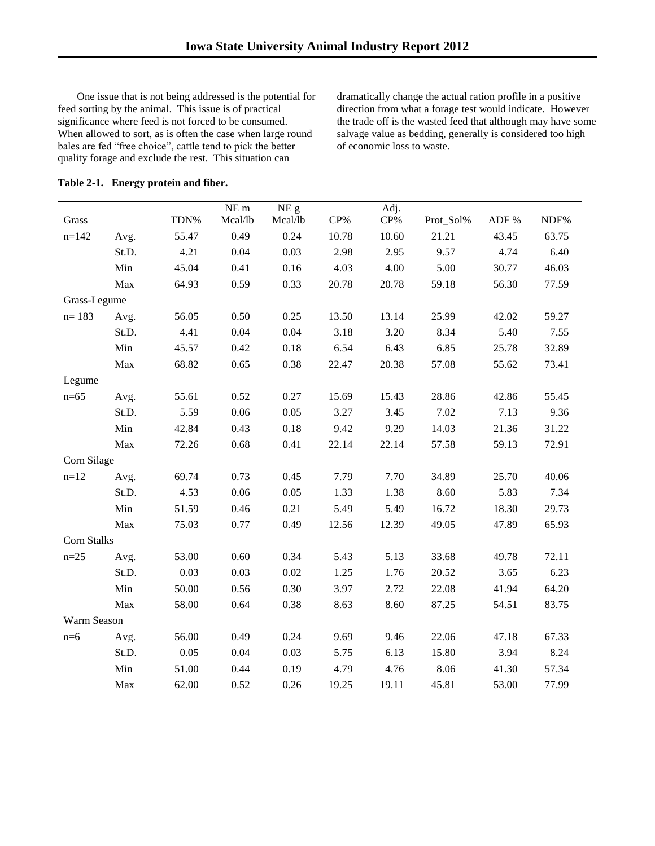One issue that is not being addressed is the potential for feed sorting by the animal. This issue is of practical significance where feed is not forced to be consumed. When allowed to sort, as is often the case when large round bales are fed "free choice", cattle tend to pick the better quality forage and exclude the rest. This situation can

dramatically change the actual ration profile in a positive direction from what a forage test would indicate. However the trade off is the wasted feed that although may have some salvage value as bedding, generally is considered too high of economic loss to waste.

| Table 2-1. Energy protein and fiber. |  |  |  |
|--------------------------------------|--|--|--|
|                                      |  |  |  |

| Grass              |       | TDN%  | NE <sub>m</sub><br>Mcal/lb | NE g<br>Mcal/lb | $CP\%$ | Adj.<br>CP% | Prot_Sol% | ADF % | NDF%  |
|--------------------|-------|-------|----------------------------|-----------------|--------|-------------|-----------|-------|-------|
| $n=142$            | Avg.  | 55.47 | 0.49                       | 0.24            | 10.78  | 10.60       | 21.21     | 43.45 | 63.75 |
|                    | St.D. | 4.21  | 0.04                       | 0.03            | 2.98   | 2.95        | 9.57      | 4.74  | 6.40  |
|                    | Min   | 45.04 | 0.41                       | 0.16            | 4.03   | 4.00        | 5.00      | 30.77 | 46.03 |
|                    | Max   | 64.93 | 0.59                       | 0.33            | 20.78  | 20.78       | 59.18     | 56.30 | 77.59 |
| Grass-Legume       |       |       |                            |                 |        |             |           |       |       |
| $n = 183$          | Avg.  | 56.05 | 0.50                       | 0.25            | 13.50  | 13.14       | 25.99     | 42.02 | 59.27 |
|                    | St.D. | 4.41  | 0.04                       | 0.04            | 3.18   | 3.20        | 8.34      | 5.40  | 7.55  |
|                    | Min   | 45.57 | 0.42                       | 0.18            | 6.54   | 6.43        | 6.85      | 25.78 | 32.89 |
|                    | Max   | 68.82 | 0.65                       | 0.38            | 22.47  | 20.38       | 57.08     | 55.62 | 73.41 |
| Legume             |       |       |                            |                 |        |             |           |       |       |
| $n=65$             | Avg.  | 55.61 | 0.52                       | 0.27            | 15.69  | 15.43       | 28.86     | 42.86 | 55.45 |
|                    | St.D. | 5.59  | 0.06                       | 0.05            | 3.27   | 3.45        | 7.02      | 7.13  | 9.36  |
|                    | Min   | 42.84 | 0.43                       | 0.18            | 9.42   | 9.29        | 14.03     | 21.36 | 31.22 |
|                    | Max   | 72.26 | 0.68                       | 0.41            | 22.14  | 22.14       | 57.58     | 59.13 | 72.91 |
| Corn Silage        |       |       |                            |                 |        |             |           |       |       |
| $n=12$             | Avg.  | 69.74 | 0.73                       | 0.45            | 7.79   | 7.70        | 34.89     | 25.70 | 40.06 |
|                    | St.D. | 4.53  | 0.06                       | 0.05            | 1.33   | 1.38        | 8.60      | 5.83  | 7.34  |
|                    | Min   | 51.59 | 0.46                       | 0.21            | 5.49   | 5.49        | 16.72     | 18.30 | 29.73 |
|                    | Max   | 75.03 | 0.77                       | 0.49            | 12.56  | 12.39       | 49.05     | 47.89 | 65.93 |
| <b>Corn Stalks</b> |       |       |                            |                 |        |             |           |       |       |
| $n = 25$           | Avg.  | 53.00 | 0.60                       | 0.34            | 5.43   | 5.13        | 33.68     | 49.78 | 72.11 |
|                    | St.D. | 0.03  | 0.03                       | 0.02            | 1.25   | 1.76        | 20.52     | 3.65  | 6.23  |
|                    | Min   | 50.00 | 0.56                       | 0.30            | 3.97   | 2.72        | 22.08     | 41.94 | 64.20 |
|                    | Max   | 58.00 | 0.64                       | 0.38            | 8.63   | 8.60        | 87.25     | 54.51 | 83.75 |
| Warm Season        |       |       |                            |                 |        |             |           |       |       |
| $n=6$              | Avg.  | 56.00 | 0.49                       | 0.24            | 9.69   | 9.46        | 22.06     | 47.18 | 67.33 |
|                    | St.D. | 0.05  | 0.04                       | 0.03            | 5.75   | 6.13        | 15.80     | 3.94  | 8.24  |
|                    | Min   | 51.00 | 0.44                       | 0.19            | 4.79   | 4.76        | 8.06      | 41.30 | 57.34 |
|                    | Max   | 62.00 | 0.52                       | 0.26            | 19.25  | 19.11       | 45.81     | 53.00 | 77.99 |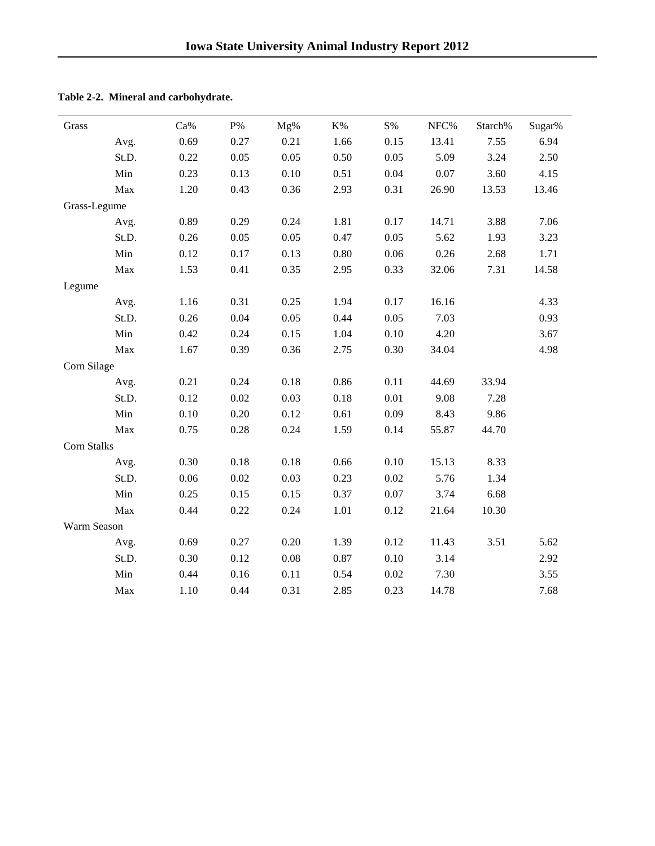| Grass              |       | Ca%  | $\mathbf{P}\%$ | Mg%  | $K\%$ | $\mathrm{S}\%$ | NFC%  | Starch% | Sugar% |
|--------------------|-------|------|----------------|------|-------|----------------|-------|---------|--------|
|                    | Avg.  | 0.69 | 0.27           | 0.21 | 1.66  | 0.15           | 13.41 | 7.55    | 6.94   |
|                    | St.D. | 0.22 | $0.05\,$       | 0.05 | 0.50  | 0.05           | 5.09  | 3.24    | 2.50   |
|                    | Min   | 0.23 | 0.13           | 0.10 | 0.51  | 0.04           | 0.07  | 3.60    | 4.15   |
|                    | Max   | 1.20 | 0.43           | 0.36 | 2.93  | 0.31           | 26.90 | 13.53   | 13.46  |
| Grass-Legume       |       |      |                |      |       |                |       |         |        |
|                    | Avg.  | 0.89 | 0.29           | 0.24 | 1.81  | 0.17           | 14.71 | 3.88    | 7.06   |
|                    | St.D. | 0.26 | 0.05           | 0.05 | 0.47  | 0.05           | 5.62  | 1.93    | 3.23   |
|                    | Min   | 0.12 | 0.17           | 0.13 | 0.80  | 0.06           | 0.26  | 2.68    | 1.71   |
|                    | Max   | 1.53 | 0.41           | 0.35 | 2.95  | 0.33           | 32.06 | 7.31    | 14.58  |
| Legume             |       |      |                |      |       |                |       |         |        |
|                    | Avg.  | 1.16 | 0.31           | 0.25 | 1.94  | 0.17           | 16.16 |         | 4.33   |
|                    | St.D. | 0.26 | 0.04           | 0.05 | 0.44  | 0.05           | 7.03  |         | 0.93   |
|                    | Min   | 0.42 | 0.24           | 0.15 | 1.04  | 0.10           | 4.20  |         | 3.67   |
|                    | Max   | 1.67 | 0.39           | 0.36 | 2.75  | 0.30           | 34.04 |         | 4.98   |
| Corn Silage        |       |      |                |      |       |                |       |         |        |
|                    | Avg.  | 0.21 | 0.24           | 0.18 | 0.86  | 0.11           | 44.69 | 33.94   |        |
|                    | St.D. | 0.12 | 0.02           | 0.03 | 0.18  | 0.01           | 9.08  | 7.28    |        |
|                    | Min   | 0.10 | 0.20           | 0.12 | 0.61  | 0.09           | 8.43  | 9.86    |        |
|                    | Max   | 0.75 | 0.28           | 0.24 | 1.59  | 0.14           | 55.87 | 44.70   |        |
| <b>Corn Stalks</b> |       |      |                |      |       |                |       |         |        |
|                    | Avg.  | 0.30 | 0.18           | 0.18 | 0.66  | 0.10           | 15.13 | 8.33    |        |
|                    | St.D. | 0.06 | 0.02           | 0.03 | 0.23  | 0.02           | 5.76  | 1.34    |        |
|                    | Min   | 0.25 | 0.15           | 0.15 | 0.37  | 0.07           | 3.74  | 6.68    |        |
|                    | Max   | 0.44 | 0.22           | 0.24 | 1.01  | 0.12           | 21.64 | 10.30   |        |
| Warm Season        |       |      |                |      |       |                |       |         |        |
|                    | Avg.  | 0.69 | 0.27           | 0.20 | 1.39  | 0.12           | 11.43 | 3.51    | 5.62   |
|                    | St.D. | 0.30 | 0.12           | 0.08 | 0.87  | 0.10           | 3.14  |         | 2.92   |
|                    | Min   | 0.44 | 0.16           | 0.11 | 0.54  | 0.02           | 7.30  |         | 3.55   |
|                    | Max   | 1.10 | 0.44           | 0.31 | 2.85  | 0.23           | 14.78 |         | 7.68   |

**Table 2-2. Mineral and carbohydrate.**